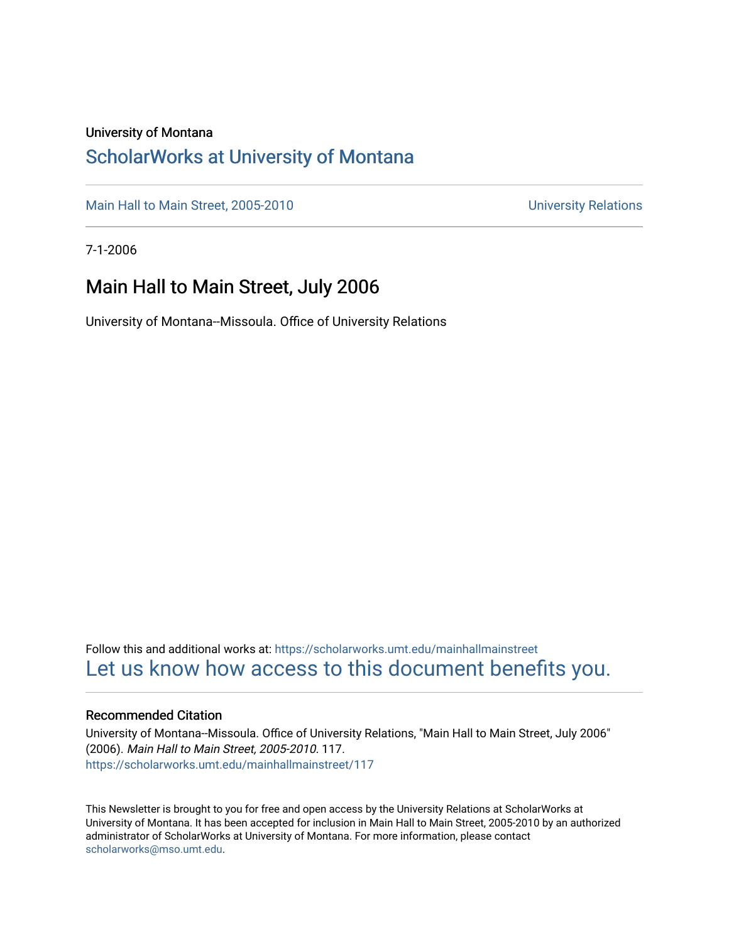### University of Montana

### [ScholarWorks at University of Montana](https://scholarworks.umt.edu/)

[Main Hall to Main Street, 2005-2010](https://scholarworks.umt.edu/mainhallmainstreet) Main Hall to Main Street, 2005-2010

7-1-2006

### Main Hall to Main Street, July 2006

University of Montana--Missoula. Office of University Relations

Follow this and additional works at: [https://scholarworks.umt.edu/mainhallmainstreet](https://scholarworks.umt.edu/mainhallmainstreet?utm_source=scholarworks.umt.edu%2Fmainhallmainstreet%2F117&utm_medium=PDF&utm_campaign=PDFCoverPages) [Let us know how access to this document benefits you.](https://goo.gl/forms/s2rGfXOLzz71qgsB2) 

### Recommended Citation

University of Montana--Missoula. Office of University Relations, "Main Hall to Main Street, July 2006" (2006). Main Hall to Main Street, 2005-2010. 117. [https://scholarworks.umt.edu/mainhallmainstreet/117](https://scholarworks.umt.edu/mainhallmainstreet/117?utm_source=scholarworks.umt.edu%2Fmainhallmainstreet%2F117&utm_medium=PDF&utm_campaign=PDFCoverPages)

This Newsletter is brought to you for free and open access by the University Relations at ScholarWorks at University of Montana. It has been accepted for inclusion in Main Hall to Main Street, 2005-2010 by an authorized administrator of ScholarWorks at University of Montana. For more information, please contact [scholarworks@mso.umt.edu.](mailto:scholarworks@mso.umt.edu)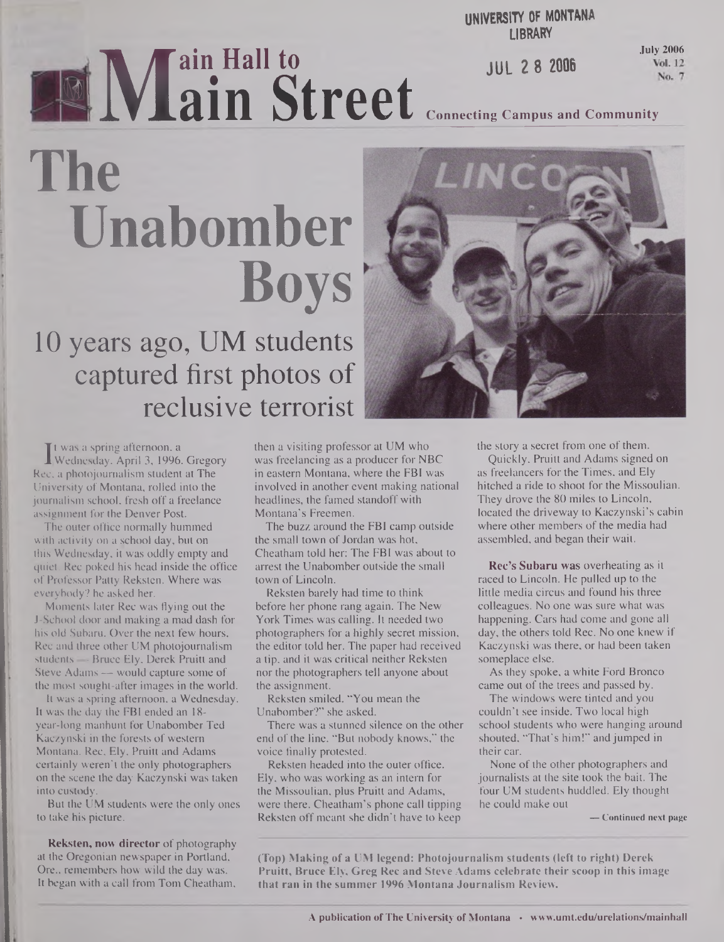**UNIVERSITY OF MONTANA LIBRARY**

**JUL 2 8 2086**

**July 2006 Vol. 12** No. 7

## **ENE ain Hall to ain Street**

**Connecting Campus and Community**

# **The Unabomber Boys**

## 10 years ago, UM students captured first photos of reclusive terrorist



I Wednesday. April 3, 1996. Gregory t was a spring afternoon, a Rec, a photojournalism student at The University of Montana, rolled into the journalism school, fresh off a freelance assignment for the Denver Post.

The outer office normally hummed with activity on a school day, but on this Wednesday, it was oddly empty and quiet. Rec poked his head inside the office of Professor Patty Reksten. Where was everybody? he asked her.

Moments later Rec was flying out the J-School door and making a mad dash for his old Subaru. Over the next few hours, Rec and three other UM photojournalism students — Bruce Ely, Derek Pruitt and Steve Adams — would capture some of the most sought-after images in the world.

Il was a spring afternoon, a Wednesday. It was the day the FBI ended an 18year-long manhunt for Unabomber Ted Kaczynski in the forests of western Montana. Rec, Ely, Pruitt and Adams certainly weren't the only photographers on the scene the day Kaczynski was taken into custody.

But the UM students were the only ones to take his picture.

**Reksten, now director** of photography at the Oregonian newspaper in Portland, Ore., remembers how wild the day was. It began with a call from Tom Cheatham, then a visiting professor at UM who was freelancing as a producer for NBC in eastern Montana, where the FBI was involved in another event making national headlines, the famed standoff with Montana's Freemen.

The buzz around the FBI camp outside the small town of Jordan was hot, Cheatham told her: The FBI was about to arrest the Unabomber outside the small town of Lincoln.

Reksten barely had time to think before her phone rang again. The New York Times was calling. It needed two photographers for a highly secret mission, the editor told her. The paper had received a tip, and it was critical neither Reksten nor the photographers tell anyone about the assignment.

Reksten smiled. "You mean the Unabomber?" she asked.

There was a stunned silence on the other end of the line. "But nobody knows," the voice finally protested.

Reksten headed into the outer office. Ely, who was working as an intern for the Missoulian, plus Pruitt and Adams, were there. Cheatham's phone call tipping Reksten off meant she didn't have to keep

the story a secret from one of them.

Quickly, Pruitt and Adams signed on as freelancers for the Times, and Ely hitched a ride to shoot for the Missoulian. They drove the 80 miles to Lincoln, located the driveway to Kaczynski's cabin where other members of the media had assembled, and began their wait.

**Rec's Subaru was** overheating as it raced to Lincoln. He pulled up to the little media circus and found his three colleagues. No one was sure what was happening. Cars had come and gone all day, the others told Rec. No one knew if Kaczynski was there, or had been taken someplace else.

As they spoke, a white Ford Bronco came out of the trees and passed by.

The windows were tinted and you couldn't see inside. Two local high school students who were hanging around shouted, "That's him!" and jumped in their car.

None of the other photographers and journalists at the site took the bait. The four UM students huddled. Ely thought he could make out

**— Continued next page**

**(Top) Making of a UM legend: Photojournalism students (left to right) Derek Pruitt, Bruce Ely, Greg Rec and Steve Adams celebrate their scoop in this image that ran in the summer 1996 Montana Journalism Review.**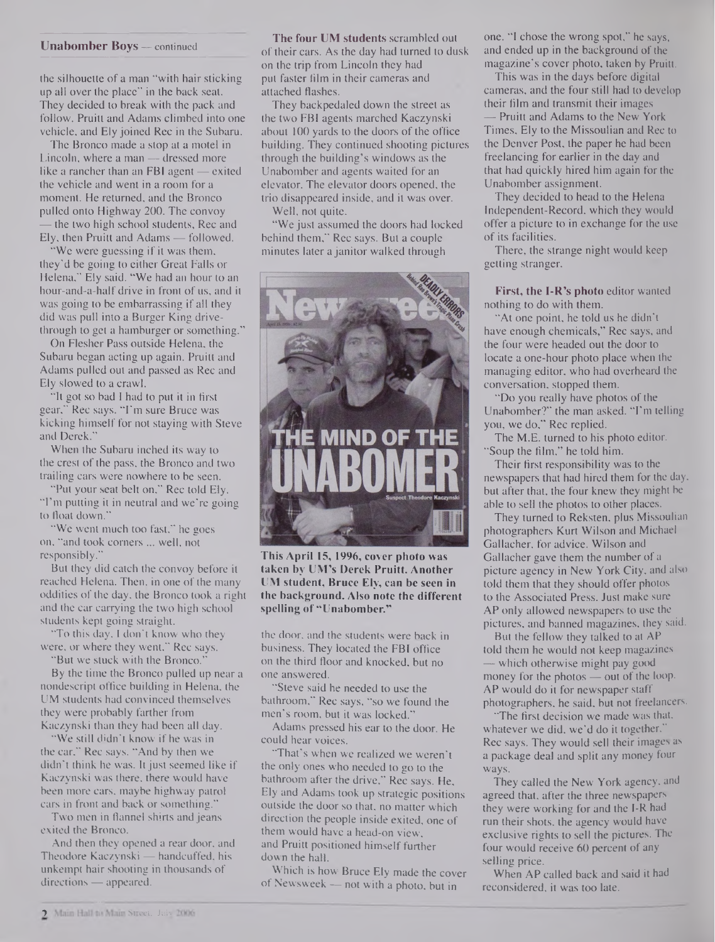#### **Unabomber Boys —** continued

the silhouette of a man "with hair sticking up all over the place" in the back seat. They decided to break with the pack and follow. Pruitt and Adams climbed into one vehicle, and Ely joined Rec in the Subaru.

The Bronco made a stop at a motel in Lincoln, where a man — dressed more like a rancher than an FBI agent — exited the vehicle and went in a room for a moment. He returned, and the Bronco pulled onto Highway 200. The convoy the two high school students, Rec and Ely, then Pruitt and Adams — followed.

"We were guessing if it was them, they'd be going to either Great Falls or Helena," Ely said. "We had an hour to an hour-and-a-half drive in front of us, and it was going to be embarrassing if all they did was pull into a Burger King drivethrough to get a hamburger or something."

On Flesher Pass outside Helena, the Subaru began acting up again. Pruitt and Adams pulled out and passed as Rec and Ely slowed to a crawl.

"It got so bad I had to put it in first gear," Rec says. "I'm sure Bruce was kicking himself for not staying with Steve and Derek."

When the Subaru inched its way to the crest of the pass, the Bronco and two trailing cars were nowhere to be seen.

"Put your seat belt on," Rec told Ely. "I'm putting it in neutral and we're going to float down."

"We went much too fast," he goes on, "and took corners ... well, not responsibly."

But they did catch the convoy before it reached Helena. Then, in one of the many oddities of the day, the Bronco took a right and the car carrying the two high school students kept going straight.

"To this day, I don't know who they were, or where they went," Rec says.

"But we stuck with the Bronco." By the time the Bronco pulled up near a

nondescript office building in Helena, the UM students had convinced themselves they were probably farther from Kaczynski than they had been all day.

"We still didn't know if he was in the car," Rec says. "And by then we didn't think he was. It just seemed like if Kaczynski was there, there would have been more cars, maybe highway patrol cars in front and back or something."

Two men in flannel shirts and jeans exited the Bronco.

And then they opened a rear door, and Theodore Kaczynski — handcuffed, his unkempt hair shooting in thousands of directions — appeared.

**The four UM students** scrambled out of their cars. As the day had turned to dusk on the trip from Lincoln they had pul faster film in their cameras and attached flashes.

They backpedaled down the street as the two FBI agents marched Kaczynski about 100 yards to the doors of the office building. They continued shooting pictures through the building's windows as the Unabomber and agents waited for an elevator. The elevator doors opened, the trio disappeared inside, and it was over.

Well, not quite.

"We just assumed the doors had locked behind them," Rec says. But a couple minutes later a janitor walked through



**This April 15, 1996, cover photo was taken by UM's Derek Pruitt. Another UM student, Bruce Ely, can be seen in the background. Also note the different spelling of"Unabomber."**

the door, and the students were back in business. They located the FBI office on the third floor and knocked, but no one answered.

"Steve said he needed to use the bathroom," Rec says, "so we found the men's room, but it was locked."

Adams pressed his ear to the door. He could hear voices.

"That's when we realized we weren't the only ones who needed to go to the bathroom after the drive," Rec says. He, Ely and Adams took up strategic positions outside the door so that, no matter which direction the people inside exited, one of them would have a head-on view, and Pruitt positioned himself further down the hall.

Which is how Bruce Ely made the cover of Newsweek — not with a photo, but in

one. "I chose the wrong spot," he says, and ended up in the background of the magazine's cover photo, taken by Pruitt.

This was in the days before digital cameras, and the four still had to develop their film and transmit their images — Pruitt and Adams to the New York Times, Ely to the Missoulian and Rec to the Denver Post, the paper he had been freelancing for earlier in the day and that had quickly hired him again for the Unabomber assignment.

They decided to head to the Helena Independent-Record, which they would offer a picture to in exchange for the use of its facilities.

There, the strange night would keep getting stranger.

**First, the I-R's photo** editor wanted nothing to do with them.

"At one point, he told us he didn't have enough chemicals," Rec says, and the four were headed out the door to locate a one-hour photo place when the managing editor, who had overheard the conversation, stopped them.

"Do you really have photos of the Unabomber?" the man asked. "I'm telling you, we do," Rec replied.

The M.E. turned to his photo editor. "Soup the film," he told him.

Their first responsibility was to the newspapers that had hired them for the day, but after that, the four knew they might be able to sell the photos to other places.

They turned to Reksten, plus Missoulian photographers Kurt Wilson and Michael Gallacher, for advice. Wilson and Gallacher gave them the number of a picture agency in New York City, and also told them that they should offer photos to the Associated Press. Just make sure AP only allowed newspapers to use the pictures, and banned magazines, they said.

But the fellow they talked to at AP told them he would not keep magazines — which otherwise might pay good money for the photos  $-$  out of the loop. AP would do it for newspaper staff photographers, he said, but not freelancers.

"The first decision we made was that, whatever we did, we'd do it together. Rec says. They would sell their images as a package deal and split any money four ways.

They called the New York agency, and agreed that, after the three newspapers they were working for and the I-R had run their shots, the agency would have exclusive rights to sell the pictures. The four would receive 60 percent of any selling price.

When AP called back and said it had reconsidered, it was too late.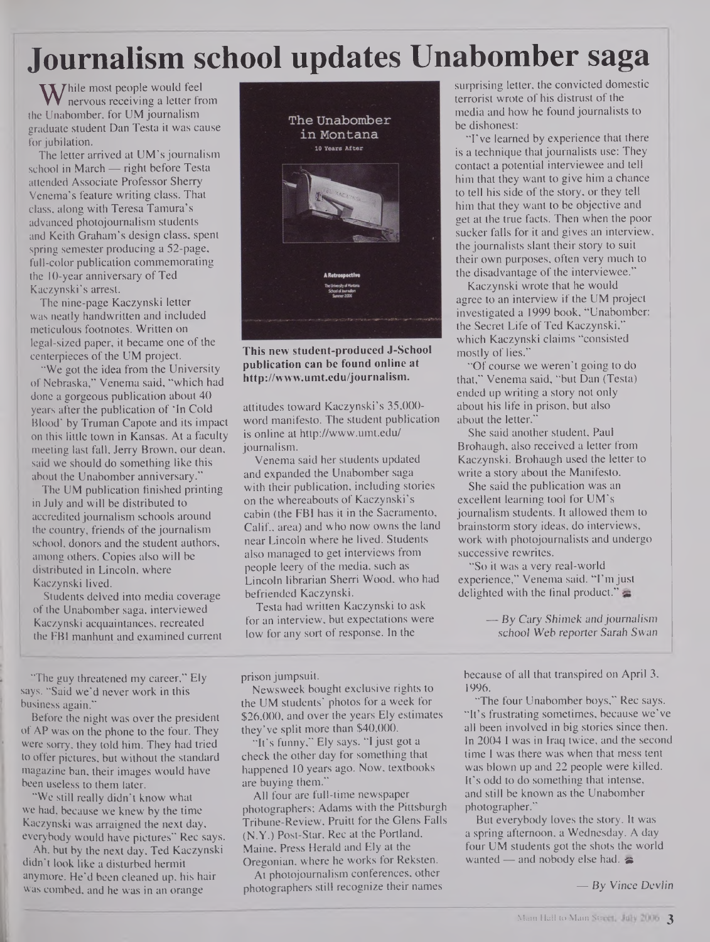## **Journalism school updates Unabomber saga**

**W** hile most people would feel<br>
revous receiving a letter fr<br> **M** lournalism<br> **M** iournalism nervous receiving a letter from the Unabomber, for UM journalism graduate student Dan Testa it was cause for jubilation.

The letter arrived at UM's journalism school in March — right before Testa attended Associate Professor Sherry Venema's feature writing class. That class, along with Teresa Tamura's advanced photojournalism students and Keith Graham's design class, spent spring semester producing a 52-page, full-color publication commemorating the 10-year anniversary of Ted Kaczynski's arrest.

The nine-page Kaczynski letter was neatly handwritten and included meticulous footnotes. Written on legal-sized paper, it became one of the centerpieces of the UM project.

"We got the idea from the University of Nebraska," Venema said, "which had done a gorgeous publication about 40 years after the publication of 'In Cold Blood' by Truman Capote and its impact on this little town in Kansas. At a faculty meeting last fall, Jerry Brown, our dean, said we should do something like this about the Unabomber anniversary."

The UM publication finished printing in July and will be distributed to accredited journalism schools around the country, friends of the journalism school, donors and the student authors, among others. Copies also will be distributed in Lincoln, where Kaczynski lived.

Students delved into media coverage of the Unabomber saga, interviewed Kaczynski acquaintances, recreated the FBI manhunt and examined current

"The guy threatened my career," Ely says. "Said we'd never work in this business again."

Before the night was over the president of AP was on the phone to the four. They were sorry, they told him. They had tried to offer pictures, but without the standard magazine ban, their images would have been useless to them later.

"We still really didn't know what we had, because we knew by the time Kaczynski was arraigned the next day, everybody would have pictures" Rec says.

Ah, but by the next day, Ted Kaczynski didn't look like a disturbed hermit anymore. He'd been cleaned up, his hair was combed, and he was in an orange



This new student-produced J-School publication can be found online at <http://www.umt.edu/journalism>.

attitudes toward Kaczynski's 35,000 word manifesto. The student publication is online at <http://www.umt.edu/> journalism.

Venema said her students updated and expanded the Unabomber saga with their publication, including stories on the whereabouts of Kaczynski's cabin (the FBI has it in the Sacramento, Calif., area) and who now owns the land near Lincoln where he lived. Students also managed to get interviews from people leery of the media, such as Lincoln librarian Sherri Wood, who had befriended Kaczynski.

Testa had written Kaczynski to ask for an interview, but expectations were low for any sort of response. In the

prison jumpsuit.

Newsweek bought exclusive rights to the UM students' photos for a week for \$26,000, and over the years Ely estimates they've split more than \$40,000.

"It's funny," Ely says. "I just got a check the other day for something that happened 10 years ago. Now, textbooks are buying them."

All four are full-time newspaper photographers; Adams with the Pittsburgh Tribune-Review, Pruitt for the Glens Falls (N.Y.) Post-Star, Rec at the Portland, Maine, Press Herald and Ely at the Oregonian, where he works for Reksten.

At photojournalism conferences, other photographers still recognize their names surprising letter, the convicted domestic terrorist wrote of his distrust of the media and how he found journalists to be dishonest:

"I've learned by experience that there is a technique that journalists use: They contact a potential interviewee and tell him that they want to give him a chance to tell his side of the story, or they tell him that they want to be objective and get at the true facts. Then when the poor sucker falls for it and gives an interview, the journalists slant their story to suit their own purposes, often very much to the disadvantage of the interviewee."

Kaczynski wrote that he would agree to an interview if the UM project investigated a 1999 book, "Unabomber: the Secret Life of Ted Kaczynski," which Kaczynski claims "consisted mostly of lies."

"Of course we weren't going to do that," Venema said, "but Dan (Testa) ended up writing a story not only about his life in prison, but also about the letter.'

She said another student, Paul Brohaugh, also received a letter from Kaczynski. Brohaugh used the letter to write a story about the Manifesto.

She said the publication was an excellent learning tool for UM's journalism students. It allowed them to brainstorm story ideas, do interviews, work with photojoumalists and undergo successive rewrites.

"So it was a very real-world experience," Venema said. "I'm just delighted with the final product." $=$ 

> — By Caiy *Shimek andjournalism school Web reporter Sarah Swan*

because of all that transpired on April 3, 1996.

"The four Unabomber boys," Rec says. "It's frustrating sometimes, because we've all been involved in big stories since then. In 2004 I was in Iraq twice, and the second time I was there was when that mess tent was blown up and 22 people were killed. It's odd to do something that intense, and still be known as the Unabomber photographer."

But everybody loves the story. It was a spring afternoon, a Wednesday. A day four UM students got the shots the world wanted — and nobody else had.  $\blacktriangleright$ 

— By Vince Devlin